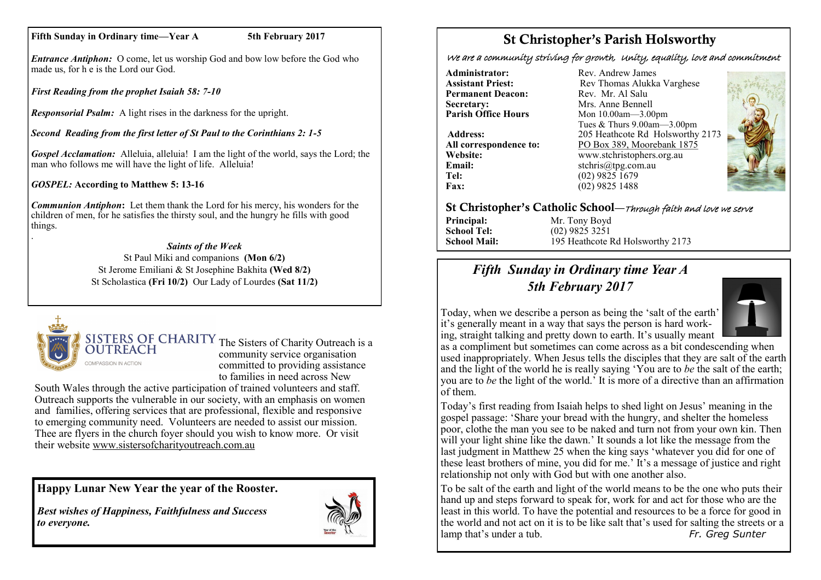#### **Fifth Sunday in Ordinary time—Year A 5th February 2017**

*Entrance Antiphon:* O come, let us worship God and bow low before the God who made us, for h e is the Lord our God.

*First Reading from the prophet Isaiah 58: 7-10*

*Responsorial Psalm:* A light rises in the darkness for the upright.

*Second Reading from the first letter of St Paul to the Corinthians 2: 1-5*

*Gospel Acclamation:* Alleluia, alleluia! I am the light of the world, says the Lord; the man who follows me will have the light of life. Alleluia!

*GOSPEL:* **According to Matthew 5: 13-16**

*Communion Antiphon***:** Let them thank the Lord for his mercy, his wonders for the children of men, for he satisfies the thirsty soul, and the hungry he fills with good things. .

#### *Saints of the Week*

St Paul Miki and companions **(Mon 6/2)**  St Jerome Emiliani & St Josephine Bakhita **(Wed 8/2)** St Scholastica **(Fri 10/2)** Our Lady of Lourdes **(Sat 11/2)**



SISTERS OF CHARITY The Sisters of Charity Outreach is a community service organisation committed to providing assistance to families in need across New

South Wales through the active participation of trained volunteers and staff. Outreach supports the vulnerable in our society, with an emphasis on women and families, offering services that are professional, flexible and responsive to emerging community need. Volunteers are needed to assist our mission. Thee are flyers in the church foyer should you wish to know more. Or visit their website [www.sistersofcharityoutreach.com.au](http://www.sistersofcharityoutreach.com.au/)

**Happy Lunar New Year the year of the Rooster.**

*Best wishes of Happiness, Faithfulness and Success to everyone.*



### St Christopher's Parish Holsworthy

We are a community striving for growth, Unity, equality, love and commitment

**Administrator:** Rev. Andrew James<br> **Assistant Priest:** Rev Thomas Alukka **Permanent Deacon:**<br>Secretary: **Secretary:** Mrs. Anne Bennell<br> **Parish Office Hours** Mon 10.00am - 3.00

**Email:** stchris@tpg.com.au<br> **Tel:** (02) 9825 1679 **Tel:** (02) 9825 1679<br>**Fax:** (02) 9825 1488

**Rev Thomas Alukka Varghese**<br>Rev Mr Al Salu **Mon 10.00am—3.00pm** Tues & Thurs 9.00am—3.00pm **Address:** 205 Heathcote Rd Holsworthy 2173 **All correspondence to:** PO Box 389, Moorebank 1875 **Website:** www.stchristophers.org.au<br> **Email:** stchris@tng.com au **Fax:** (02) 9825 1488



#### St Christopher's Catholic School—Through faith and love we serve

**Principal:** Mr. Tony Boyd **School Tel:** (02) 9825 3251

**School Mail:** 195 Heathcote Rd Holsworthy 2173

### *Fifth Sunday in Ordinary time Year A 5th February 2017*



Today, when we describe a person as being the 'salt of the earth' it's generally meant in a way that says the person is hard working, straight talking and pretty down to earth. It's usually meant

as a compliment but sometimes can come across as a bit condescending when used inappropriately. When Jesus tells the disciples that they are salt of the earth and the light of the world he is really saying 'You are to *be* the salt of the earth; you are to *be* the light of the world.' It is more of a directive than an affirmation of them.

Today's first reading from Isaiah helps to shed light on Jesus' meaning in the gospel passage: 'Share your bread with the hungry, and shelter the homeless poor, clothe the man you see to be naked and turn not from your own kin. Then will your light shine like the dawn.' It sounds a lot like the message from the last judgment in Matthew 25 when the king says 'whatever you did for one of these least brothers of mine, you did for me.' It's a message of justice and right relationship not only with God but with one another also.

To be salt of the earth and light of the world means to be the one who puts their hand up and steps forward to speak for, work for and act for those who are the least in this world. To have the potential and resources to be a force for good in the world and not act on it is to be like salt that's used for salting the streets or a lamp that's under a tub. *Fr. Greg Sunter*